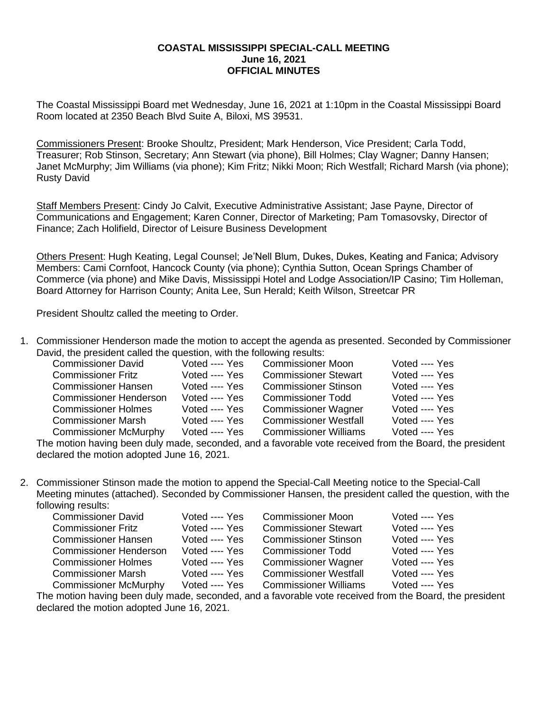## **COASTAL MISSISSIPPI SPECIAL-CALL MEETING June 16, 2021 OFFICIAL MINUTES**

The Coastal Mississippi Board met Wednesday, June 16, 2021 at 1:10pm in the Coastal Mississippi Board Room located at 2350 Beach Blvd Suite A, Biloxi, MS 39531.

Commissioners Present: Brooke Shoultz, President; Mark Henderson, Vice President; Carla Todd, Treasurer; Rob Stinson, Secretary; Ann Stewart (via phone), Bill Holmes; Clay Wagner; Danny Hansen; Janet McMurphy; Jim Williams (via phone); Kim Fritz; Nikki Moon; Rich Westfall; Richard Marsh (via phone); Rusty David

Staff Members Present: Cindy Jo Calvit, Executive Administrative Assistant; Jase Payne, Director of Communications and Engagement; Karen Conner, Director of Marketing; Pam Tomasovsky, Director of Finance; Zach Holifield, Director of Leisure Business Development

Others Present: Hugh Keating, Legal Counsel; Je'Nell Blum, Dukes, Dukes, Keating and Fanica; Advisory Members: Cami Cornfoot, Hancock County (via phone); Cynthia Sutton, Ocean Springs Chamber of Commerce (via phone) and Mike Davis, Mississippi Hotel and Lodge Association/IP Casino; Tim Holleman, Board Attorney for Harrison County; Anita Lee, Sun Herald; Keith Wilson, Streetcar PR

President Shoultz called the meeting to Order.

1. Commissioner Henderson made the motion to accept the agenda as presented. Seconded by Commissioner David, the president called the question, with the following results:

| <b>Commissioner David</b>     | Voted ---- Yes | <b>Commissioner Moon</b>     | Voted ---- Yes |
|-------------------------------|----------------|------------------------------|----------------|
| <b>Commissioner Fritz</b>     | Voted ---- Yes | <b>Commissioner Stewart</b>  | Voted ---- Yes |
| <b>Commissioner Hansen</b>    | Voted ---- Yes | <b>Commissioner Stinson</b>  | Voted ---- Yes |
| <b>Commissioner Henderson</b> | Voted ---- Yes | <b>Commissioner Todd</b>     | Voted ---- Yes |
| <b>Commissioner Holmes</b>    | Voted ---- Yes | <b>Commissioner Wagner</b>   | Voted ---- Yes |
| <b>Commissioner Marsh</b>     | Voted ---- Yes | <b>Commissioner Westfall</b> | Voted ---- Yes |
| <b>Commissioner McMurphy</b>  | Voted ---- Yes | <b>Commissioner Williams</b> | Voted ---- Yes |

The motion having been duly made, seconded, and a favorable vote received from the Board, the president declared the motion adopted June 16, 2021.

2. Commissioner Stinson made the motion to append the Special-Call Meeting notice to the Special-Call Meeting minutes (attached). Seconded by Commissioner Hansen, the president called the question, with the following results:

| <b>Commissioner David</b>     | Voted ---- Yes | <b>Commissioner Moon</b>     | Voted ---- Yes |
|-------------------------------|----------------|------------------------------|----------------|
| <b>Commissioner Fritz</b>     | Voted ---- Yes | <b>Commissioner Stewart</b>  | Voted ---- Yes |
| <b>Commissioner Hansen</b>    | Voted ---- Yes | <b>Commissioner Stinson</b>  | Voted ---- Yes |
| <b>Commissioner Henderson</b> | Voted ---- Yes | <b>Commissioner Todd</b>     | Voted ---- Yes |
| <b>Commissioner Holmes</b>    | Voted ---- Yes | <b>Commissioner Wagner</b>   | Voted ---- Yes |
| <b>Commissioner Marsh</b>     | Voted ---- Yes | <b>Commissioner Westfall</b> | Voted ---- Yes |
| <b>Commissioner McMurphy</b>  | Voted ---- Yes | <b>Commissioner Williams</b> | Voted ---- Yes |
|                               |                |                              |                |

The motion having been duly made, seconded, and a favorable vote received from the Board, the president declared the motion adopted June 16, 2021.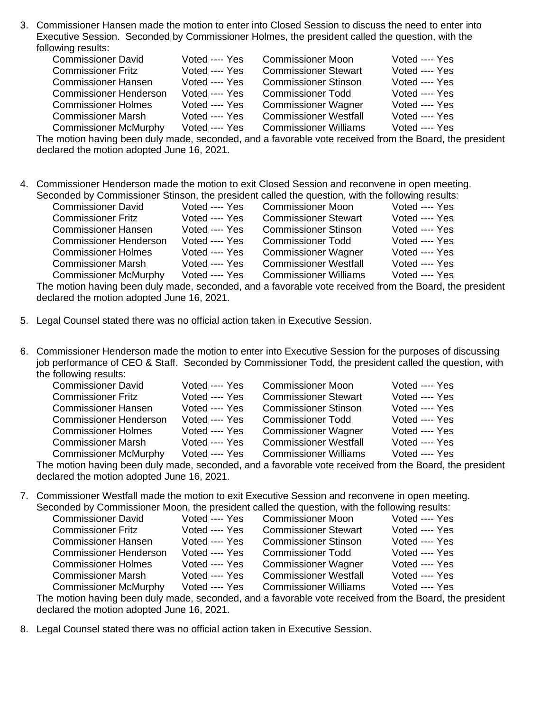3. Commissioner Hansen made the motion to enter into Closed Session to discuss the need to enter into Executive Session. Seconded by Commissioner Holmes, the president called the question, with the following results:

| <b>Commissioner David</b>     | Voted ---- Yes | <b>Commissioner Moon</b>     | Voted ---- Yes |
|-------------------------------|----------------|------------------------------|----------------|
| <b>Commissioner Fritz</b>     | Voted ---- Yes | <b>Commissioner Stewart</b>  | Voted ---- Yes |
| <b>Commissioner Hansen</b>    | Voted ---- Yes | <b>Commissioner Stinson</b>  | Voted ---- Yes |
| <b>Commissioner Henderson</b> | Voted ---- Yes | Commissioner Todd            | Voted ---- Yes |
| <b>Commissioner Holmes</b>    | Voted ---- Yes | <b>Commissioner Wagner</b>   | Voted ---- Yes |
| <b>Commissioner Marsh</b>     | Voted ---- Yes | <b>Commissioner Westfall</b> | Voted ---- Yes |
| <b>Commissioner McMurphy</b>  | Voted ---- Yes | <b>Commissioner Williams</b> | Voted ---- Yes |

The motion having been duly made, seconded, and a favorable vote received from the Board, the president declared the motion adopted June 16, 2021.

4. Commissioner Henderson made the motion to exit Closed Session and reconvene in open meeting. Seconded by Commissioner Stinson, the president called the question, with the following results:

| <b>Commissioner David</b>     | Voted ---- Yes | <b>Commissioner Moon</b>                                                                                                                                                                                                       | Voted ---- Yes |
|-------------------------------|----------------|--------------------------------------------------------------------------------------------------------------------------------------------------------------------------------------------------------------------------------|----------------|
| <b>Commissioner Fritz</b>     | Voted ---- Yes | <b>Commissioner Stewart</b>                                                                                                                                                                                                    | Voted ---- Yes |
| <b>Commissioner Hansen</b>    | Voted ---- Yes | <b>Commissioner Stinson</b>                                                                                                                                                                                                    | Voted ---- Yes |
| <b>Commissioner Henderson</b> | Voted ---- Yes | <b>Commissioner Todd</b>                                                                                                                                                                                                       | Voted ---- Yes |
| <b>Commissioner Holmes</b>    | Voted ---- Yes | <b>Commissioner Wagner</b>                                                                                                                                                                                                     | Voted ---- Yes |
| <b>Commissioner Marsh</b>     | Voted ---- Yes | <b>Commissioner Westfall</b>                                                                                                                                                                                                   | Voted ---- Yes |
| <b>Commissioner McMurphy</b>  | Voted ---- Yes | <b>Commissioner Williams</b>                                                                                                                                                                                                   | Voted ---- Yes |
|                               |                | the category is a state of the largest of the completed of the second largest of a second factor also in the moderation of the complete of the complete state of the complete state of the complete state of the complete stat |                |

The motion having been duly made, seconded, and a favorable vote received from the Board, the president declared the motion adopted June 16, 2021.

- 5. Legal Counsel stated there was no official action taken in Executive Session.
- 6. Commissioner Henderson made the motion to enter into Executive Session for the purposes of discussing job performance of CEO & Staff. Seconded by Commissioner Todd, the president called the question, with the following results:

| <b>Commissioner David</b>     | Voted ---- Yes | <b>Commissioner Moon</b>     | Voted ---- Yes |
|-------------------------------|----------------|------------------------------|----------------|
| <b>Commissioner Fritz</b>     | Voted ---- Yes | <b>Commissioner Stewart</b>  | Voted ---- Yes |
| <b>Commissioner Hansen</b>    | Voted ---- Yes | <b>Commissioner Stinson</b>  | Voted ---- Yes |
| <b>Commissioner Henderson</b> | Voted ---- Yes | <b>Commissioner Todd</b>     | Voted ---- Yes |
| <b>Commissioner Holmes</b>    | Voted ---- Yes | <b>Commissioner Wagner</b>   | Voted ---- Yes |
| <b>Commissioner Marsh</b>     | Voted ---- Yes | <b>Commissioner Westfall</b> | Voted ---- Yes |
| <b>Commissioner McMurphy</b>  | Voted ---- Yes | <b>Commissioner Williams</b> | Voted ---- Yes |
|                               |                |                              |                |

The motion having been duly made, seconded, and a favorable vote received from the Board, the president declared the motion adopted June 16, 2021.

7. Commissioner Westfall made the motion to exit Executive Session and reconvene in open meeting. Seconded by Commissioner Moon, the president called the question, with the following results:

| <b>Commissioner David</b>     | Voted ---- Yes | <b>Commissioner Moon</b>     | Voted ---- Yes |
|-------------------------------|----------------|------------------------------|----------------|
| <b>Commissioner Fritz</b>     | Voted ---- Yes | <b>Commissioner Stewart</b>  | Voted ---- Yes |
| <b>Commissioner Hansen</b>    | Voted ---- Yes | <b>Commissioner Stinson</b>  | Voted ---- Yes |
| <b>Commissioner Henderson</b> | Voted ---- Yes | <b>Commissioner Todd</b>     | Voted ---- Yes |
| <b>Commissioner Holmes</b>    | Voted ---- Yes | <b>Commissioner Wagner</b>   | Voted ---- Yes |
| <b>Commissioner Marsh</b>     | Voted ---- Yes | <b>Commissioner Westfall</b> | Voted ---- Yes |
| <b>Commissioner McMurphy</b>  | Voted ---- Yes | <b>Commissioner Williams</b> | Voted ---- Yes |
|                               |                |                              |                |

The motion having been duly made, seconded, and a favorable vote received from the Board, the president declared the motion adopted June 16, 2021.

8. Legal Counsel stated there was no official action taken in Executive Session.